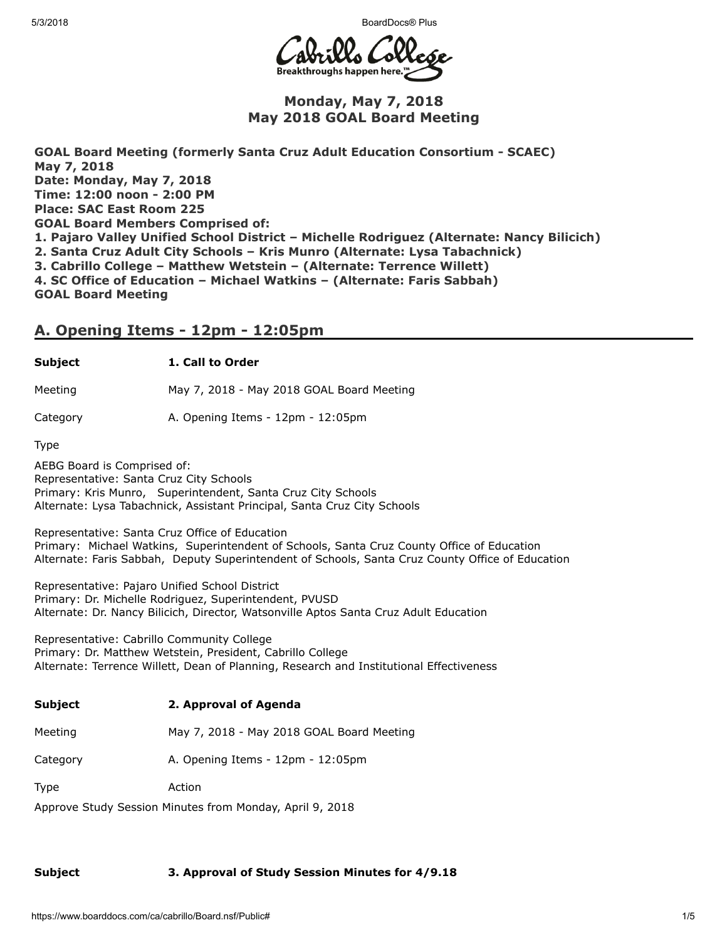5/3/2018 BoardDocs® Plus



## Monday, May 7, 2018 May 2018 GOAL Board Meeting

GOAL Board Meeting (formerly Santa Cruz Adult Education Consortium - SCAEC) May 7, 2018 Date: Monday, May 7, 2018 Time: 12:00 noon - 2:00 PM Place: SAC East Room 225 GOAL Board Members Comprised of: 1. Pajaro Valley Unified School District – Michelle Rodriguez (Alternate: Nancy Bilicich) 2. Santa Cruz Adult City Schools – Kris Munro (Alternate: Lysa Tabachnick) 3. Cabrillo College – Matthew Wetstein – (Alternate: Terrence Willett) 4. SC Office of Education – Michael Watkins – (Alternate: Faris Sabbah) GOAL Board Meeting

## A. Opening Items - 12pm - 12:05pm

### Subject 1. Call to Order

Meeting May 7, 2018 - May 2018 GOAL Board Meeting

Category A. Opening Items - 12pm - 12:05pm

Type

AEBG Board is Comprised of: Representative: Santa Cruz City Schools Primary: Kris Munro, Superintendent, Santa Cruz City Schools Alternate: Lysa Tabachnick, Assistant Principal, Santa Cruz City Schools

Representative: Santa Cruz Office of Education Primary: Michael Watkins, Superintendent of Schools, Santa Cruz County Office of Education Alternate: Faris Sabbah, Deputy Superintendent of Schools, Santa Cruz County Office of Education

Representative: Pajaro Unified School District Primary: Dr. Michelle Rodriguez, Superintendent, PVUSD Alternate: Dr. Nancy Bilicich, Director, Watsonville Aptos Santa Cruz Adult Education

Representative: Cabrillo Community College Primary: Dr. Matthew Wetstein, President, Cabrillo College Alternate: Terrence Willett, Dean of Planning, Research and Institutional Effectiveness

| Subject  | 2. Approval of Agenda                     |
|----------|-------------------------------------------|
| Meeting  | May 7, 2018 - May 2018 GOAL Board Meeting |
| Category | A. Opening Items - 12pm - 12:05pm         |

Type Action

Approve Study Session Minutes from Monday, April 9, 2018

## Subject 3. Approval of Study Session Minutes for 4/9.18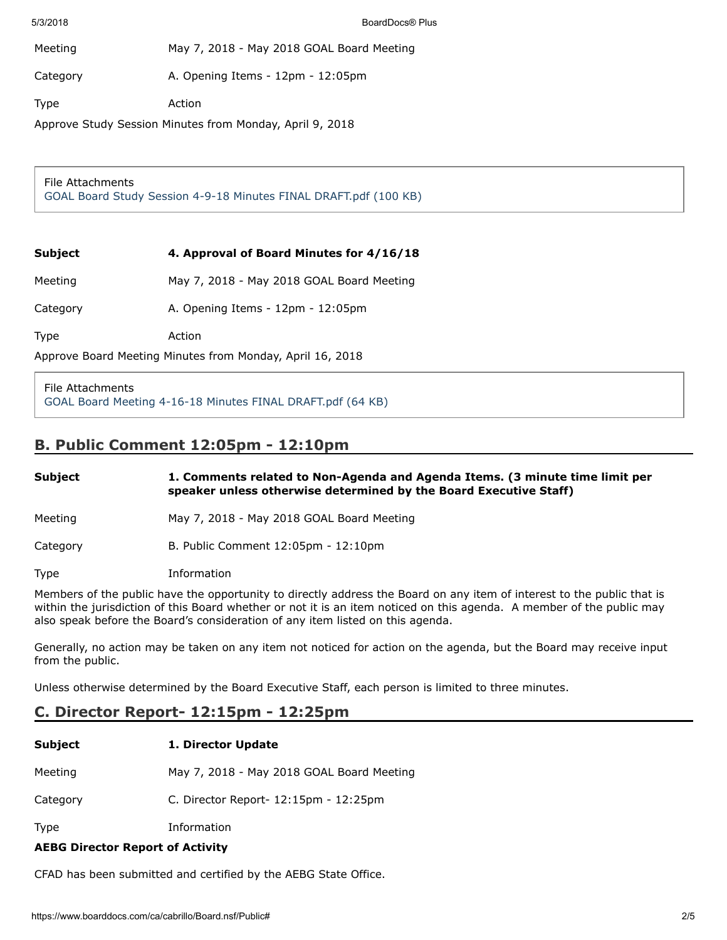| Meeting  | May 7, 2018 - May 2018 GOAL Board Meeting |
|----------|-------------------------------------------|
| Category | A. Opening Items - 12pm - 12:05pm         |
| Type     | Action                                    |

Approve Study Session Minutes from Monday, April 9, 2018

### File Attachments [GOAL Board Study Session 4-9-18 Minutes FINAL DRAFT.pdf \(100 KB\)](https://www.boarddocs.com/ca/cabrillo/Board.nsf/files/AYE4JJ7D65F3/$file/GOAL%20Board%20Study%20Session%20%204-9-18%20Minutes%20FINAL%20DRAFT.pdf)

### Subject 4. Approval of Board Minutes for  $4/16/18$

Meeting May 7, 2018 - May 2018 GOAL Board Meeting

Category **A. Opening Items - 12pm - 12:05pm** 

Type Action

Approve Board Meeting Minutes from Monday, April 16, 2018

File Attachments [GOAL Board Meeting 4-16-18 Minutes FINAL DRAFT.pdf \(64 KB\)](https://www.boarddocs.com/ca/cabrillo/Board.nsf/files/AYE4K87D86E4/$file/GOAL%20Board%20Meeting%20%204-16-18%20Minutes%20FINAL%20DRAFT.pdf)

# B. Public Comment 12:05pm - 12:10pm

| Subject  | 1. Comments related to Non-Agenda and Agenda Items. (3 minute time limit per<br>speaker unless otherwise determined by the Board Executive Staff) |
|----------|---------------------------------------------------------------------------------------------------------------------------------------------------|
| Meeting  | May 7, 2018 - May 2018 GOAL Board Meeting                                                                                                         |
| Category | B. Public Comment 12:05pm - 12:10pm                                                                                                               |
| Type     | Information                                                                                                                                       |

Members of the public have the opportunity to directly address the Board on any item of interest to the public that is within the jurisdiction of this Board whether or not it is an item noticed on this agenda. A member of the public may also speak before the Board's consideration of any item listed on this agenda.

Generally, no action may be taken on any item not noticed for action on the agenda, but the Board may receive input from the public.

Unless otherwise determined by the Board Executive Staff, each person is limited to three minutes.

# C. Director Report- 12:15pm - 12:25pm

| <b>Subject</b> | 1. Director Update                          |
|----------------|---------------------------------------------|
| Meeting        | May 7, 2018 - May 2018 GOAL Board Meeting   |
| Category       | C. Director Report- $12:15$ pm - $12:25$ pm |
| <b>Type</b>    | Information                                 |

AEBG Director Report of Activity

CFAD has been submitted and certified by the AEBG State Office.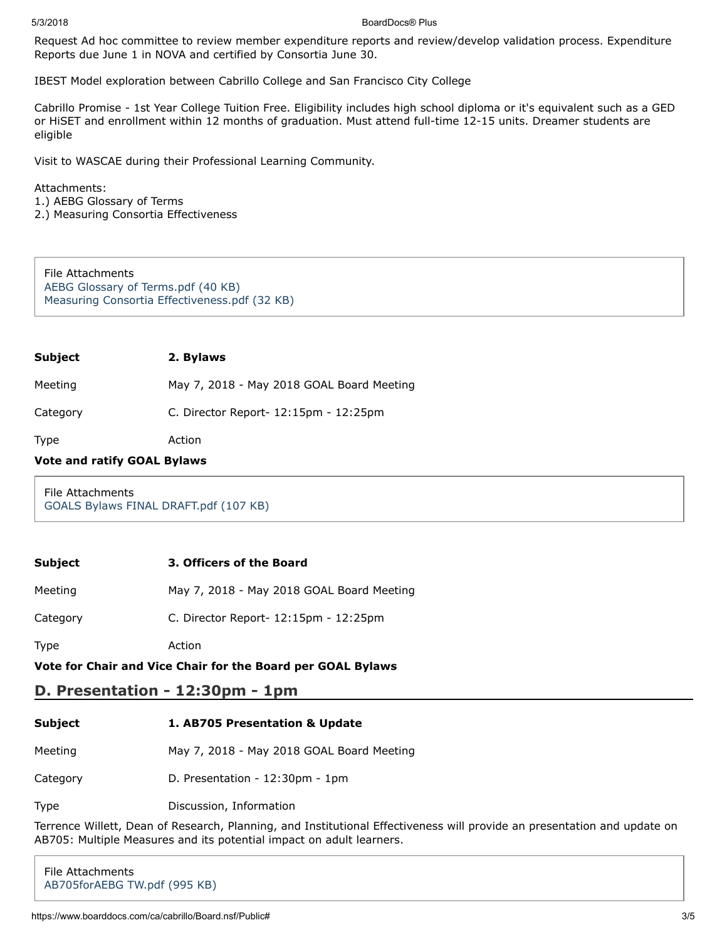#### 5/3/2018 BoardDocs® Plus

Request Ad hoc committee to review member expenditure reports and review/develop validation process. Expenditure Reports due June 1 in NOVA and certified by Consortia June 30.

IBEST Model exploration between Cabrillo College and San Francisco City College

Cabrillo Promise - 1st Year College Tuition Free. Eligibility includes high school diploma or it's equivalent such as a GED or HiSET and enrollment within 12 months of graduation. Must attend full-time 12-15 units. Dreamer students are eligible

Visit to WASCAE during their Professional Learning Community.

Attachments:

1.) AEBG Glossary of Terms

2.) Measuring Consortia Effectiveness

File Attachments [AEBG Glossary of Terms.pdf \(40 KB\)](https://www.boarddocs.com/ca/cabrillo/Board.nsf/files/AYE4M77E1660/$file/AEBG%20Glossary%20of%20Terms.pdf) [Measuring Consortia Effectiveness.pdf \(32 KB\)](https://www.boarddocs.com/ca/cabrillo/Board.nsf/files/AYE4MM7E218E/$file/Measuring%20Consortia%20Effectiveness.pdf)

| Subject | 2. Bylaws |
|---------|-----------|
|---------|-----------|

Meeting May 7, 2018 - May 2018 GOAL Board Meeting

Category C. Director Report- 12:15pm - 12:25pm

Type Action

### Vote and ratify GOAL Bylaws

File Attachments [GOALS Bylaws FINAL DRAFT.pdf \(107 KB\)](https://www.boarddocs.com/ca/cabrillo/Board.nsf/files/AYE5KR0BAD20/$file/GOALS%20Bylaws%20FINAL%20DRAFT.pdf)

### Subject 3. Officers of the Board

Category C. Director Report- 12:15pm - 12:25pm

Type Action

### Vote for Chair and Vice Chair for the Board per GOAL Bylaws

## D. Presentation - 12:30pm - 1pm

| <b>Subject</b> | 1. AB705 Presentation & Update            |
|----------------|-------------------------------------------|
| Meeting        | May 7, 2018 - May 2018 GOAL Board Meeting |
| Category       | D. Presentation $-12:30$ pm $-1$ pm       |

Type Discussion, Information

Terrence Willett, Dean of Research, Planning, and Institutional Effectiveness will provide an presentation and update on AB705: Multiple Measures and its potential impact on adult learners.

File Attachments [AB705forAEBG TW.pdf \(995 KB\)](https://www.boarddocs.com/ca/cabrillo/Board.nsf/files/AYE4LW7E0848/$file/AB705forAEBG%20TW.pdf)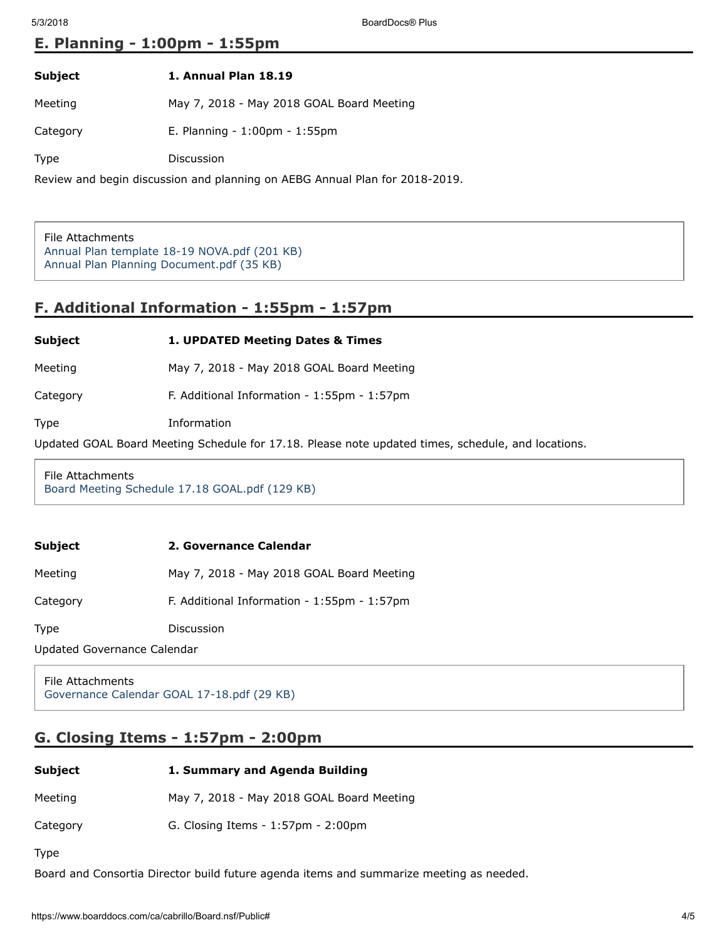## E. Planning - 1:00pm - 1:55pm

| Subject | 1. Annual Plan 18.19 |  |
|---------|----------------------|--|
|         |                      |  |

Meeting May 7, 2018 - May 2018 GOAL Board Meeting

Category E. Planning - 1:00pm - 1:55pm

Type Discussion

Review and begin discussion and planning on AEBG Annual Plan for 2018-2019.

File Attachments [Annual Plan template 18-19 NOVA.pdf \(201 KB\)](https://www.boarddocs.com/ca/cabrillo/Board.nsf/files/AYE4RE7F03A2/$file/Annual%20Plan%20template%2018-19%20NOVA.pdf) [Annual Plan Planning Document.pdf \(35 KB\)](https://www.boarddocs.com/ca/cabrillo/Board.nsf/files/AYE5KM0B7908/$file/Annual%20Plan%20Planning%20Document.pdf)

# F. Additional Information - 1:55pm - 1:57pm

Subject 1. UPDATED Meeting Dates & Times

Meeting May 7, 2018 - May 2018 GOAL Board Meeting

Category F. Additional Information - 1:55pm - 1:57pm

Type Information

Updated GOAL Board Meeting Schedule for 17.18. Please note updated times, schedule, and locations.

File Attachments [Board Meeting Schedule 17.18 GOAL.pdf \(129 KB\)](https://www.boarddocs.com/ca/cabrillo/Board.nsf/files/AYE5CR829597/$file/Board%20Meeting%20Schedule%2017.18%20GOAL.pdf)

| Subject<br>2. Governance Calendar |  |
|-----------------------------------|--|
|-----------------------------------|--|

Meeting May 7, 2018 - May 2018 GOAL Board Meeting

Category F. Additional Information - 1:55pm - 1:57pm

Type Discussion

Updated Governance Calendar

File Attachments [Governance Calendar GOAL 17-18.pdf \(29 KB\)](https://www.boarddocs.com/ca/cabrillo/Board.nsf/files/AYE5KU0BF8B9/$file/Governance%20Calendar%20GOAL%2017-18.pdf)

## G. Closing Items - 1:57pm - 2:00pm

| Subject | 1. Summary and Agenda Building |
|---------|--------------------------------|
|         |                                |

Meeting May 7, 2018 - May 2018 GOAL Board Meeting

Category G. Closing Items - 1:57pm - 2:00pm

Type

Board and Consortia Director build future agenda items and summarize meeting as needed.